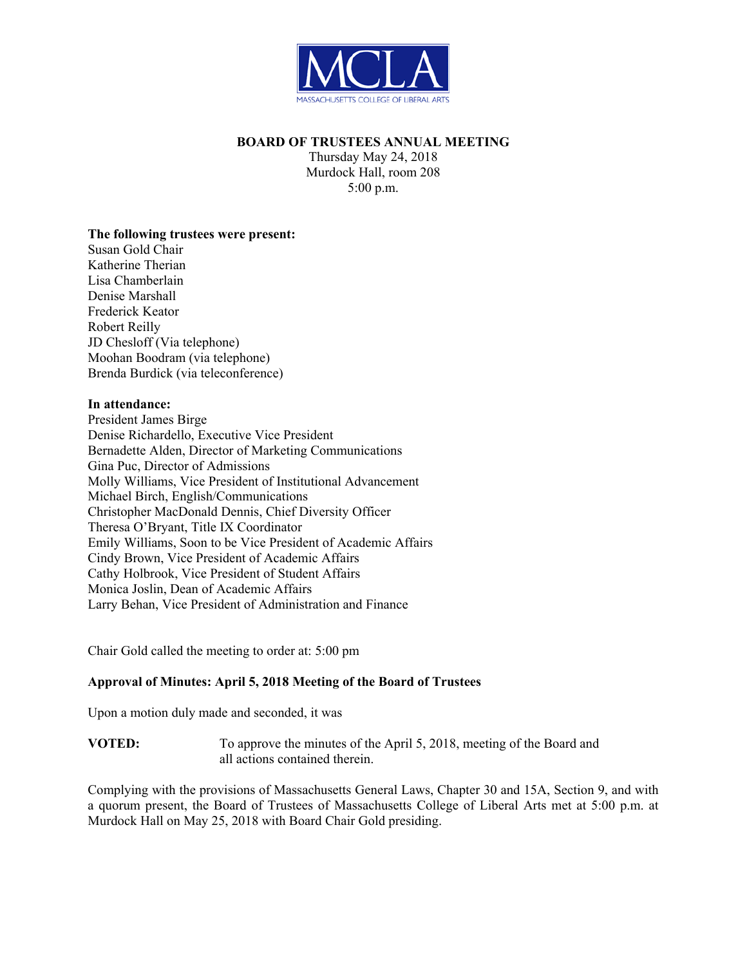

## **BOARD OF TRUSTEES ANNUAL MEETING**

Thursday May 24, 2018 Murdock Hall, room 208 5:00 p.m.

#### **The following trustees were present:**

Susan Gold Chair Katherine Therian Lisa Chamberlain Denise Marshall Frederick Keator Robert Reilly JD Chesloff (Via telephone) Moohan Boodram (via telephone) Brenda Burdick (via teleconference)

#### **In attendance:**

President James Birge Denise Richardello, Executive Vice President Bernadette Alden, Director of Marketing Communications Gina Puc, Director of Admissions Molly Williams, Vice President of Institutional Advancement Michael Birch, English/Communications Christopher MacDonald Dennis, Chief Diversity Officer Theresa O'Bryant, Title IX Coordinator Emily Williams, Soon to be Vice President of Academic Affairs Cindy Brown, Vice President of Academic Affairs Cathy Holbrook, Vice President of Student Affairs Monica Joslin, Dean of Academic Affairs Larry Behan, Vice President of Administration and Finance

Chair Gold called the meeting to order at: 5:00 pm

# **Approval of Minutes: April 5, 2018 Meeting of the Board of Trustees**

Upon a motion duly made and seconded, it was

**VOTED:** To approve the minutes of the April 5, 2018, meeting of the Board and all actions contained therein.

Complying with the provisions of Massachusetts General Laws, Chapter 30 and 15A, Section 9, and with a quorum present, the Board of Trustees of Massachusetts College of Liberal Arts met at 5:00 p.m. at Murdock Hall on May 25, 2018 with Board Chair Gold presiding.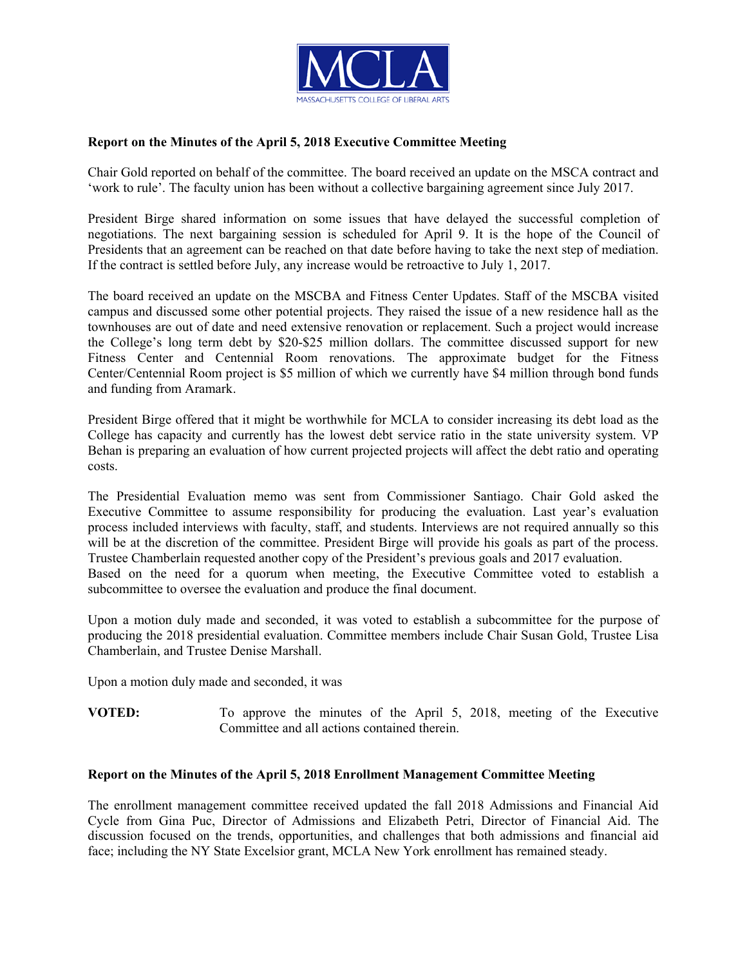

## **Report on the Minutes of the April 5, 2018 Executive Committee Meeting**

Chair Gold reported on behalf of the committee. The board received an update on the MSCA contract and 'work to rule'. The faculty union has been without a collective bargaining agreement since July 2017.

President Birge shared information on some issues that have delayed the successful completion of negotiations. The next bargaining session is scheduled for April 9. It is the hope of the Council of Presidents that an agreement can be reached on that date before having to take the next step of mediation. If the contract is settled before July, any increase would be retroactive to July 1, 2017.

The board received an update on the MSCBA and Fitness Center Updates. Staff of the MSCBA visited campus and discussed some other potential projects. They raised the issue of a new residence hall as the townhouses are out of date and need extensive renovation or replacement. Such a project would increase the College's long term debt by \$20-\$25 million dollars. The committee discussed support for new Fitness Center and Centennial Room renovations. The approximate budget for the Fitness Center/Centennial Room project is \$5 million of which we currently have \$4 million through bond funds and funding from Aramark.

President Birge offered that it might be worthwhile for MCLA to consider increasing its debt load as the College has capacity and currently has the lowest debt service ratio in the state university system. VP Behan is preparing an evaluation of how current projected projects will affect the debt ratio and operating costs.

The Presidential Evaluation memo was sent from Commissioner Santiago. Chair Gold asked the Executive Committee to assume responsibility for producing the evaluation. Last year's evaluation process included interviews with faculty, staff, and students. Interviews are not required annually so this will be at the discretion of the committee. President Birge will provide his goals as part of the process. Trustee Chamberlain requested another copy of the President's previous goals and 2017 evaluation. Based on the need for a quorum when meeting, the Executive Committee voted to establish a subcommittee to oversee the evaluation and produce the final document.

Upon a motion duly made and seconded, it was voted to establish a subcommittee for the purpose of producing the 2018 presidential evaluation. Committee members include Chair Susan Gold, Trustee Lisa Chamberlain, and Trustee Denise Marshall.

Upon a motion duly made and seconded, it was

**VOTED:** To approve the minutes of the April 5, 2018, meeting of the Executive Committee and all actions contained therein.

#### **Report on the Minutes of the April 5, 2018 Enrollment Management Committee Meeting**

The enrollment management committee received updated the fall 2018 Admissions and Financial Aid Cycle from Gina Puc, Director of Admissions and Elizabeth Petri, Director of Financial Aid. The discussion focused on the trends, opportunities, and challenges that both admissions and financial aid face; including the NY State Excelsior grant, MCLA New York enrollment has remained steady.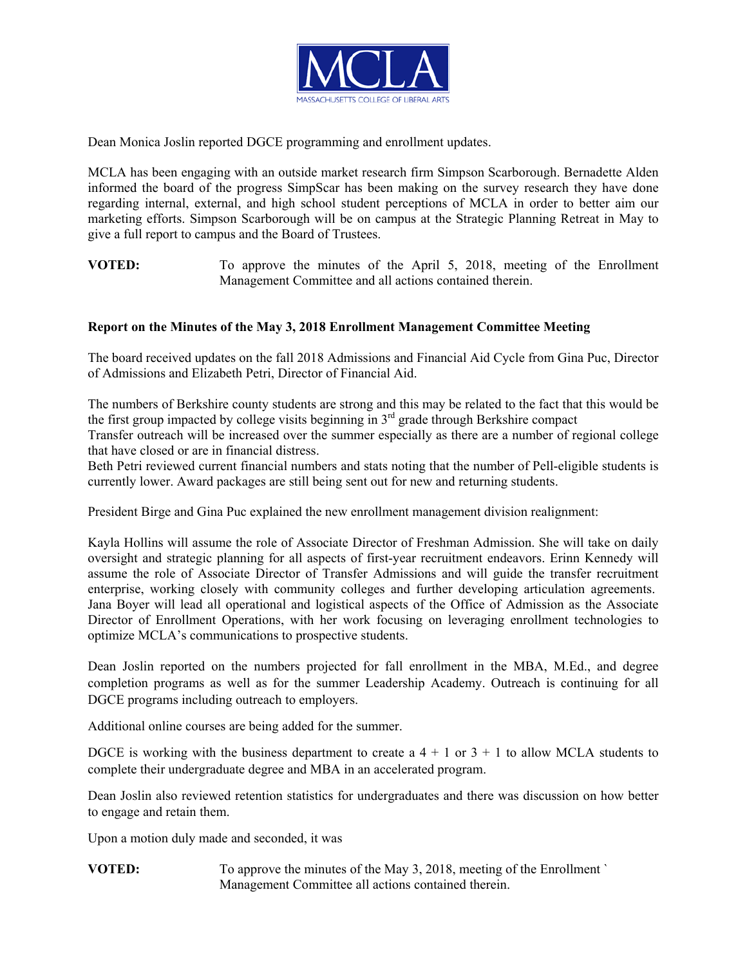

Dean Monica Joslin reported DGCE programming and enrollment updates.

MCLA has been engaging with an outside market research firm Simpson Scarborough. Bernadette Alden informed the board of the progress SimpScar has been making on the survey research they have done regarding internal, external, and high school student perceptions of MCLA in order to better aim our marketing efforts. Simpson Scarborough will be on campus at the Strategic Planning Retreat in May to give a full report to campus and the Board of Trustees.

**VOTED:** To approve the minutes of the April 5, 2018, meeting of the Enrollment Management Committee and all actions contained therein.

### **Report on the Minutes of the May 3, 2018 Enrollment Management Committee Meeting**

The board received updates on the fall 2018 Admissions and Financial Aid Cycle from Gina Puc, Director of Admissions and Elizabeth Petri, Director of Financial Aid.

The numbers of Berkshire county students are strong and this may be related to the fact that this would be the first group impacted by college visits beginning in  $3<sup>rd</sup>$  grade through Berkshire compact

Transfer outreach will be increased over the summer especially as there are a number of regional college that have closed or are in financial distress.

Beth Petri reviewed current financial numbers and stats noting that the number of Pell-eligible students is currently lower. Award packages are still being sent out for new and returning students.

President Birge and Gina Puc explained the new enrollment management division realignment:

Kayla Hollins will assume the role of Associate Director of Freshman Admission. She will take on daily oversight and strategic planning for all aspects of first-year recruitment endeavors. Erinn Kennedy will assume the role of Associate Director of Transfer Admissions and will guide the transfer recruitment enterprise, working closely with community colleges and further developing articulation agreements. Jana Boyer will lead all operational and logistical aspects of the Office of Admission as the Associate Director of Enrollment Operations, with her work focusing on leveraging enrollment technologies to optimize MCLA's communications to prospective students.

Dean Joslin reported on the numbers projected for fall enrollment in the MBA, M.Ed., and degree completion programs as well as for the summer Leadership Academy. Outreach is continuing for all DGCE programs including outreach to employers.

Additional online courses are being added for the summer.

DGCE is working with the business department to create a  $4 + 1$  or  $3 + 1$  to allow MCLA students to complete their undergraduate degree and MBA in an accelerated program.

Dean Joslin also reviewed retention statistics for undergraduates and there was discussion on how better to engage and retain them.

Upon a motion duly made and seconded, it was

**VOTED:** To approve the minutes of the May 3, 2018, meeting of the Enrollment ` Management Committee all actions contained therein.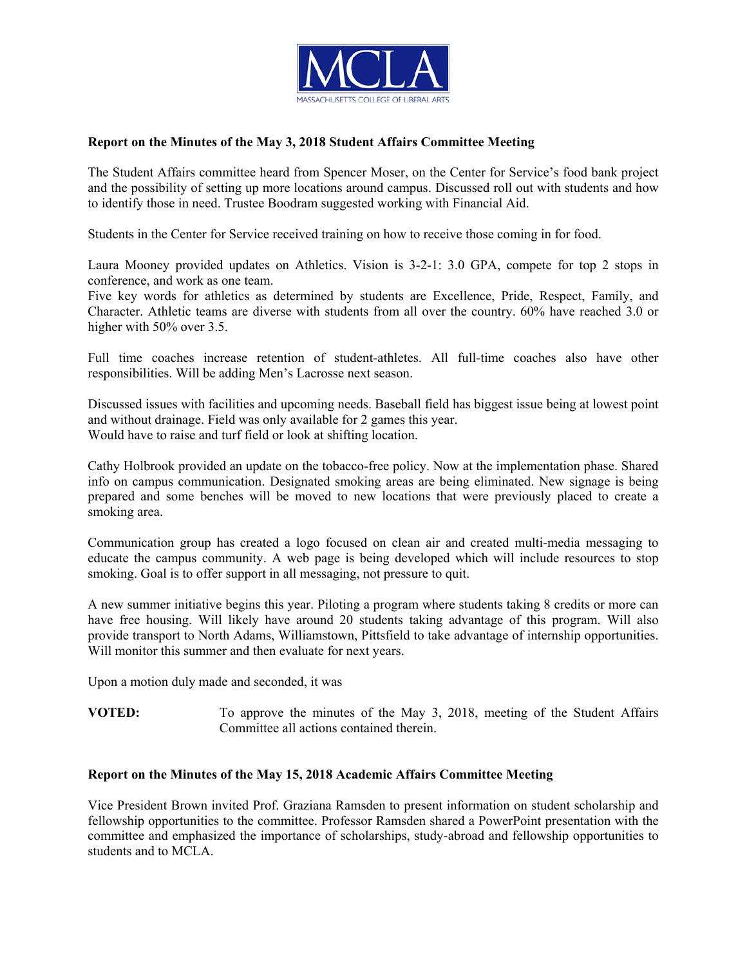

## **Report on the Minutes of the May 3, 2018 Student Affairs Committee Meeting**

The Student Affairs committee heard from Spencer Moser, on the Center for Service's food bank project and the possibility of setting up more locations around campus. Discussed roll out with students and how to identify those in need. Trustee Boodram suggested working with Financial Aid.

Students in the Center for Service received training on how to receive those coming in for food.

Laura Mooney provided updates on Athletics. Vision is 3-2-1: 3.0 GPA, compete for top 2 stops in conference, and work as one team.

Five key words for athletics as determined by students are Excellence, Pride, Respect, Family, and Character. Athletic teams are diverse with students from all over the country. 60% have reached 3.0 or higher with 50% over 3.5.

Full time coaches increase retention of student-athletes. All full-time coaches also have other responsibilities. Will be adding Men's Lacrosse next season.

Discussed issues with facilities and upcoming needs. Baseball field has biggest issue being at lowest point and without drainage. Field was only available for 2 games this year. Would have to raise and turf field or look at shifting location.

Cathy Holbrook provided an update on the tobacco-free policy. Now at the implementation phase. Shared info on campus communication. Designated smoking areas are being eliminated. New signage is being prepared and some benches will be moved to new locations that were previously placed to create a smoking area.

Communication group has created a logo focused on clean air and created multi-media messaging to educate the campus community. A web page is being developed which will include resources to stop smoking. Goal is to offer support in all messaging, not pressure to quit.

A new summer initiative begins this year. Piloting a program where students taking 8 credits or more can have free housing. Will likely have around 20 students taking advantage of this program. Will also provide transport to North Adams, Williamstown, Pittsfield to take advantage of internship opportunities. Will monitor this summer and then evaluate for next years.

Upon a motion duly made and seconded, it was

**VOTED:** To approve the minutes of the May 3, 2018, meeting of the Student Affairs Committee all actions contained therein.

#### **Report on the Minutes of the May 15, 2018 Academic Affairs Committee Meeting**

Vice President Brown invited Prof. Graziana Ramsden to present information on student scholarship and fellowship opportunities to the committee. Professor Ramsden shared a PowerPoint presentation with the committee and emphasized the importance of scholarships, study-abroad and fellowship opportunities to students and to MCLA.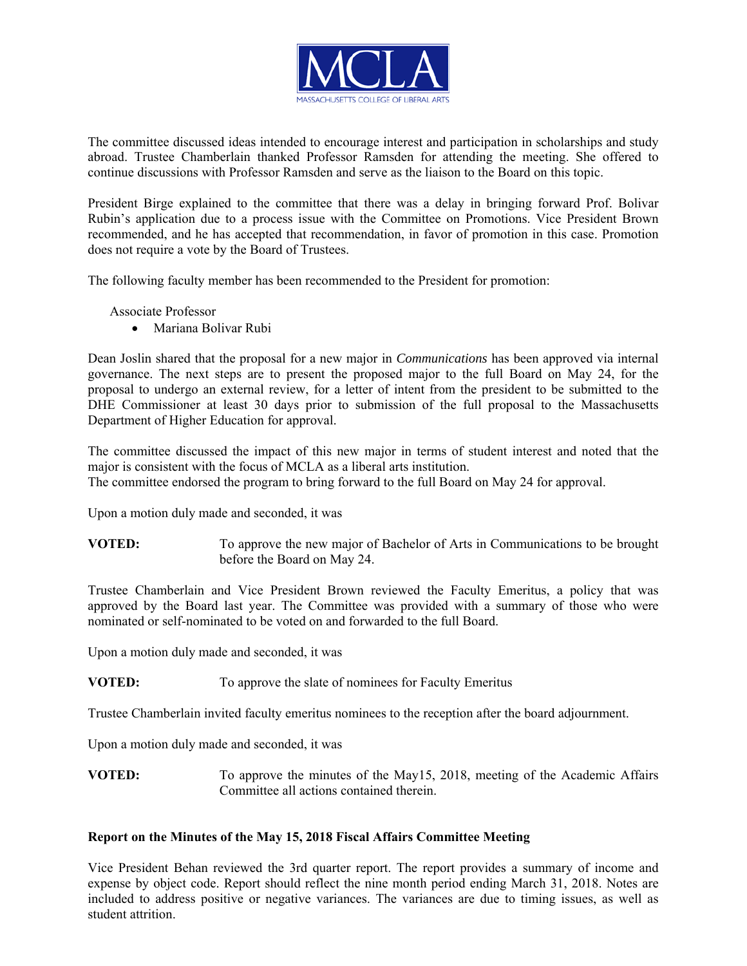

The committee discussed ideas intended to encourage interest and participation in scholarships and study abroad. Trustee Chamberlain thanked Professor Ramsden for attending the meeting. She offered to continue discussions with Professor Ramsden and serve as the liaison to the Board on this topic.

President Birge explained to the committee that there was a delay in bringing forward Prof. Bolivar Rubin's application due to a process issue with the Committee on Promotions. Vice President Brown recommended, and he has accepted that recommendation, in favor of promotion in this case. Promotion does not require a vote by the Board of Trustees.

The following faculty member has been recommended to the President for promotion:

Associate Professor

Mariana Bolivar Rubi

Dean Joslin shared that the proposal for a new major in *Communications* has been approved via internal governance. The next steps are to present the proposed major to the full Board on May 24, for the proposal to undergo an external review, for a letter of intent from the president to be submitted to the DHE Commissioner at least 30 days prior to submission of the full proposal to the Massachusetts Department of Higher Education for approval.

The committee discussed the impact of this new major in terms of student interest and noted that the major is consistent with the focus of MCLA as a liberal arts institution. The committee endorsed the program to bring forward to the full Board on May 24 for approval.

Upon a motion duly made and seconded, it was

**VOTED:** To approve the new major of Bachelor of Arts in Communications to be brought before the Board on May 24.

Trustee Chamberlain and Vice President Brown reviewed the Faculty Emeritus, a policy that was approved by the Board last year. The Committee was provided with a summary of those who were nominated or self-nominated to be voted on and forwarded to the full Board.

Upon a motion duly made and seconded, it was

**VOTED:** To approve the slate of nominees for Faculty Emeritus

Trustee Chamberlain invited faculty emeritus nominees to the reception after the board adjournment.

Upon a motion duly made and seconded, it was

**VOTED:** To approve the minutes of the May15, 2018, meeting of the Academic Affairs Committee all actions contained therein.

#### **Report on the Minutes of the May 15, 2018 Fiscal Affairs Committee Meeting**

Vice President Behan reviewed the 3rd quarter report. The report provides a summary of income and expense by object code. Report should reflect the nine month period ending March 31, 2018. Notes are included to address positive or negative variances. The variances are due to timing issues, as well as student attrition.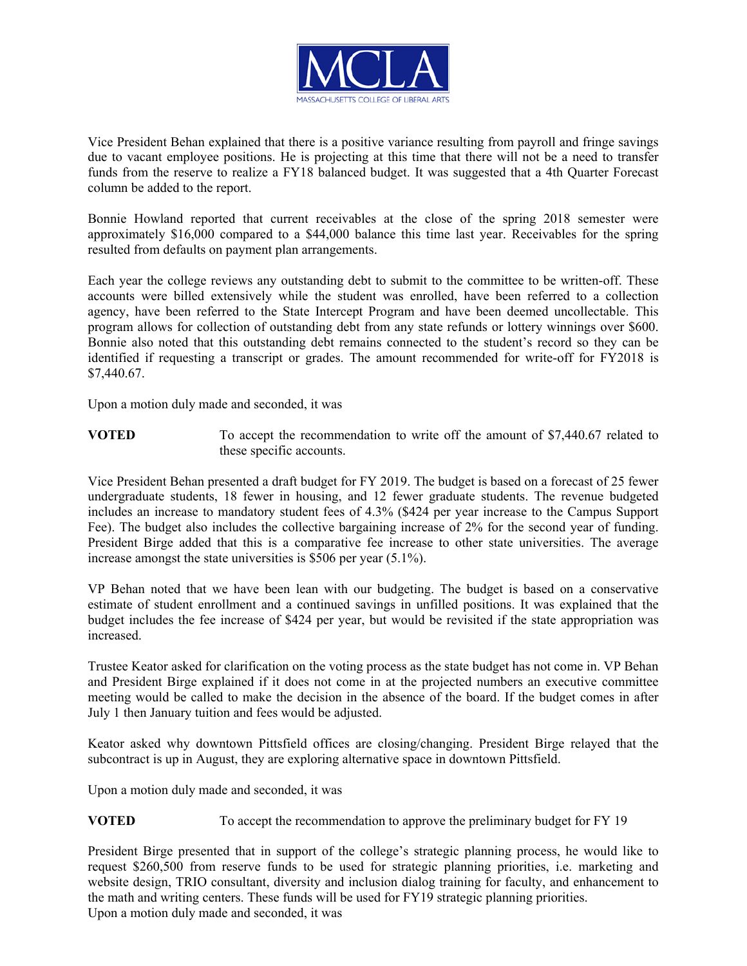

Vice President Behan explained that there is a positive variance resulting from payroll and fringe savings due to vacant employee positions. He is projecting at this time that there will not be a need to transfer funds from the reserve to realize a FY18 balanced budget. It was suggested that a 4th Quarter Forecast column be added to the report.

Bonnie Howland reported that current receivables at the close of the spring 2018 semester were approximately \$16,000 compared to a \$44,000 balance this time last year. Receivables for the spring resulted from defaults on payment plan arrangements.

Each year the college reviews any outstanding debt to submit to the committee to be written-off. These accounts were billed extensively while the student was enrolled, have been referred to a collection agency, have been referred to the State Intercept Program and have been deemed uncollectable. This program allows for collection of outstanding debt from any state refunds or lottery winnings over \$600. Bonnie also noted that this outstanding debt remains connected to the student's record so they can be identified if requesting a transcript or grades. The amount recommended for write-off for FY2018 is \$7,440.67.

Upon a motion duly made and seconded, it was

**VOTED** To accept the recommendation to write off the amount of \$7,440.67 related to these specific accounts.

Vice President Behan presented a draft budget for FY 2019. The budget is based on a forecast of 25 fewer undergraduate students, 18 fewer in housing, and 12 fewer graduate students. The revenue budgeted includes an increase to mandatory student fees of 4.3% (\$424 per year increase to the Campus Support Fee). The budget also includes the collective bargaining increase of 2% for the second year of funding. President Birge added that this is a comparative fee increase to other state universities. The average increase amongst the state universities is \$506 per year (5.1%).

VP Behan noted that we have been lean with our budgeting. The budget is based on a conservative estimate of student enrollment and a continued savings in unfilled positions. It was explained that the budget includes the fee increase of \$424 per year, but would be revisited if the state appropriation was increased.

Trustee Keator asked for clarification on the voting process as the state budget has not come in. VP Behan and President Birge explained if it does not come in at the projected numbers an executive committee meeting would be called to make the decision in the absence of the board. If the budget comes in after July 1 then January tuition and fees would be adjusted.

Keator asked why downtown Pittsfield offices are closing/changing. President Birge relayed that the subcontract is up in August, they are exploring alternative space in downtown Pittsfield.

Upon a motion duly made and seconded, it was

#### **VOTED** To accept the recommendation to approve the preliminary budget for FY 19

President Birge presented that in support of the college's strategic planning process, he would like to request \$260,500 from reserve funds to be used for strategic planning priorities, i.e. marketing and website design, TRIO consultant, diversity and inclusion dialog training for faculty, and enhancement to the math and writing centers. These funds will be used for FY19 strategic planning priorities. Upon a motion duly made and seconded, it was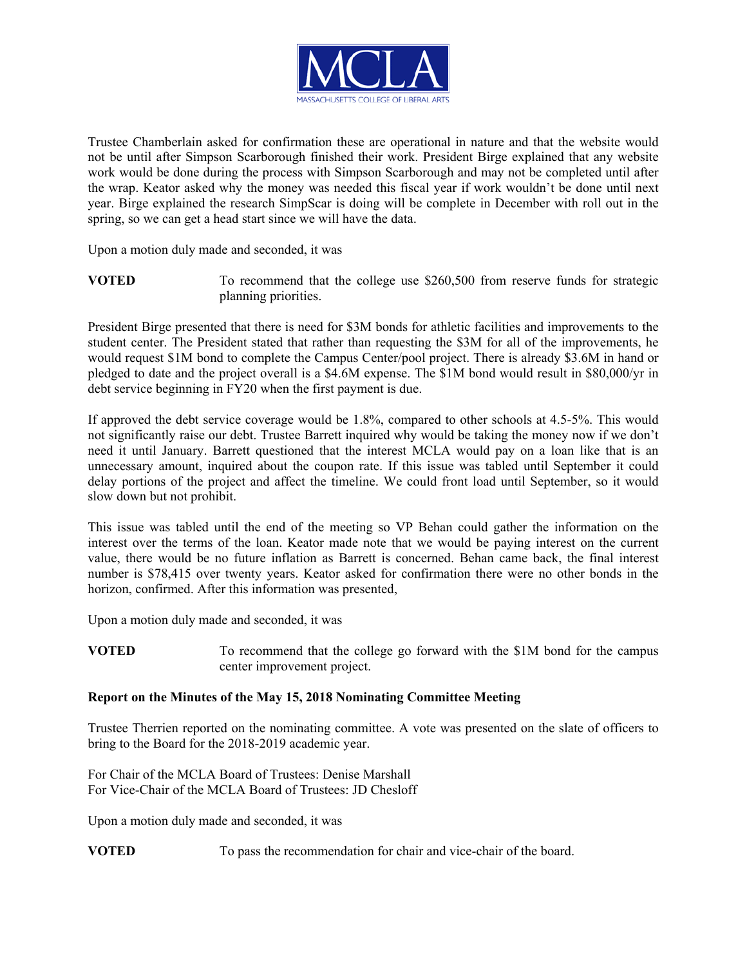

Trustee Chamberlain asked for confirmation these are operational in nature and that the website would not be until after Simpson Scarborough finished their work. President Birge explained that any website work would be done during the process with Simpson Scarborough and may not be completed until after the wrap. Keator asked why the money was needed this fiscal year if work wouldn't be done until next year. Birge explained the research SimpScar is doing will be complete in December with roll out in the spring, so we can get a head start since we will have the data.

Upon a motion duly made and seconded, it was

**VOTED** To recommend that the college use \$260,500 from reserve funds for strategic planning priorities.

President Birge presented that there is need for \$3M bonds for athletic facilities and improvements to the student center. The President stated that rather than requesting the \$3M for all of the improvements, he would request \$1M bond to complete the Campus Center/pool project. There is already \$3.6M in hand or pledged to date and the project overall is a \$4.6M expense. The \$1M bond would result in \$80,000/yr in debt service beginning in FY20 when the first payment is due.

If approved the debt service coverage would be 1.8%, compared to other schools at 4.5-5%. This would not significantly raise our debt. Trustee Barrett inquired why would be taking the money now if we don't need it until January. Barrett questioned that the interest MCLA would pay on a loan like that is an unnecessary amount, inquired about the coupon rate. If this issue was tabled until September it could delay portions of the project and affect the timeline. We could front load until September, so it would slow down but not prohibit.

This issue was tabled until the end of the meeting so VP Behan could gather the information on the interest over the terms of the loan. Keator made note that we would be paying interest on the current value, there would be no future inflation as Barrett is concerned. Behan came back, the final interest number is \$78,415 over twenty years. Keator asked for confirmation there were no other bonds in the horizon, confirmed. After this information was presented,

Upon a motion duly made and seconded, it was

**VOTED** To recommend that the college go forward with the \$1M bond for the campus center improvement project.

# **Report on the Minutes of the May 15, 2018 Nominating Committee Meeting**

Trustee Therrien reported on the nominating committee. A vote was presented on the slate of officers to bring to the Board for the 2018-2019 academic year.

For Chair of the MCLA Board of Trustees: Denise Marshall For Vice-Chair of the MCLA Board of Trustees: JD Chesloff

Upon a motion duly made and seconded, it was

**VOTED** To pass the recommendation for chair and vice-chair of the board.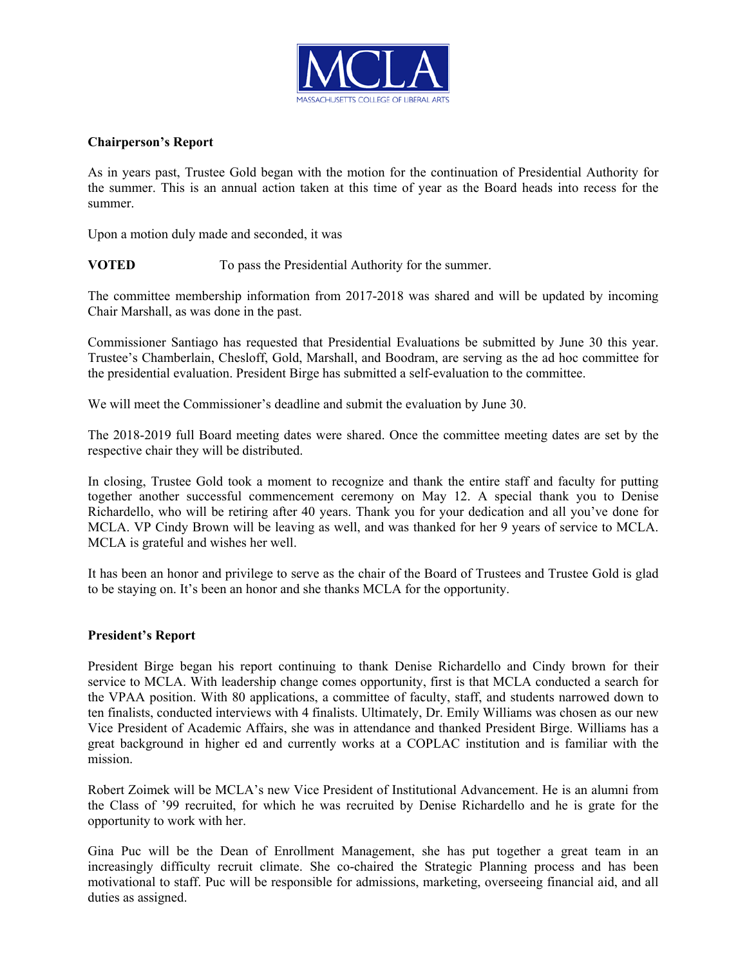

## **Chairperson's Report**

As in years past, Trustee Gold began with the motion for the continuation of Presidential Authority for the summer. This is an annual action taken at this time of year as the Board heads into recess for the summer.

Upon a motion duly made and seconded, it was

**VOTED** To pass the Presidential Authority for the summer.

The committee membership information from 2017-2018 was shared and will be updated by incoming Chair Marshall, as was done in the past.

Commissioner Santiago has requested that Presidential Evaluations be submitted by June 30 this year. Trustee's Chamberlain, Chesloff, Gold, Marshall, and Boodram, are serving as the ad hoc committee for the presidential evaluation. President Birge has submitted a self-evaluation to the committee.

We will meet the Commissioner's deadline and submit the evaluation by June 30.

The 2018-2019 full Board meeting dates were shared. Once the committee meeting dates are set by the respective chair they will be distributed.

In closing, Trustee Gold took a moment to recognize and thank the entire staff and faculty for putting together another successful commencement ceremony on May 12. A special thank you to Denise Richardello, who will be retiring after 40 years. Thank you for your dedication and all you've done for MCLA. VP Cindy Brown will be leaving as well, and was thanked for her 9 years of service to MCLA. MCLA is grateful and wishes her well.

It has been an honor and privilege to serve as the chair of the Board of Trustees and Trustee Gold is glad to be staying on. It's been an honor and she thanks MCLA for the opportunity.

#### **President's Report**

President Birge began his report continuing to thank Denise Richardello and Cindy brown for their service to MCLA. With leadership change comes opportunity, first is that MCLA conducted a search for the VPAA position. With 80 applications, a committee of faculty, staff, and students narrowed down to ten finalists, conducted interviews with 4 finalists. Ultimately, Dr. Emily Williams was chosen as our new Vice President of Academic Affairs, she was in attendance and thanked President Birge. Williams has a great background in higher ed and currently works at a COPLAC institution and is familiar with the mission.

Robert Zoimek will be MCLA's new Vice President of Institutional Advancement. He is an alumni from the Class of '99 recruited, for which he was recruited by Denise Richardello and he is grate for the opportunity to work with her.

Gina Puc will be the Dean of Enrollment Management, she has put together a great team in an increasingly difficulty recruit climate. She co-chaired the Strategic Planning process and has been motivational to staff. Puc will be responsible for admissions, marketing, overseeing financial aid, and all duties as assigned.